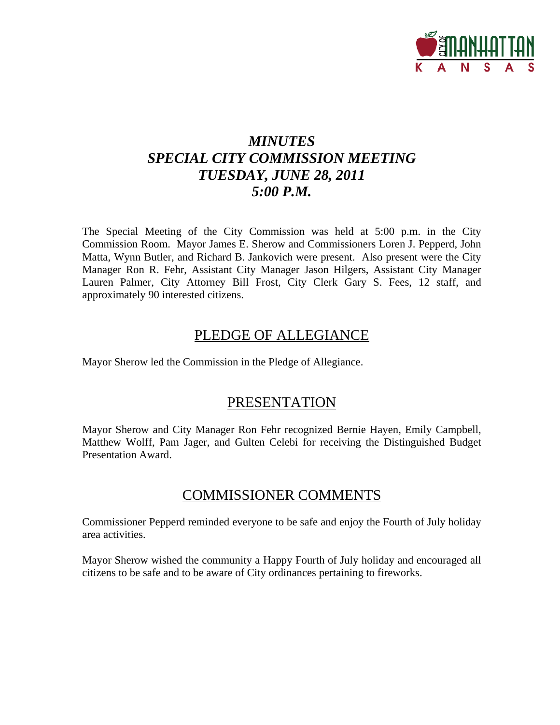

# *MINUTES SPECIAL CITY COMMISSION MEETING TUESDAY, JUNE 28, 2011 5:00 P.M.*

The Special Meeting of the City Commission was held at 5:00 p.m. in the City Commission Room. Mayor James E. Sherow and Commissioners Loren J. Pepperd, John Matta, Wynn Butler, and Richard B. Jankovich were present. Also present were the City Manager Ron R. Fehr, Assistant City Manager Jason Hilgers, Assistant City Manager Lauren Palmer, City Attorney Bill Frost, City Clerk Gary S. Fees, 12 staff, and approximately 90 interested citizens.

# PLEDGE OF ALLEGIANCE

Mayor Sherow led the Commission in the Pledge of Allegiance.

# PRESENTATION

Mayor Sherow and City Manager Ron Fehr recognized Bernie Hayen, Emily Campbell, Matthew Wolff, Pam Jager, and Gulten Celebi for receiving the Distinguished Budget Presentation Award.

# COMMISSIONER COMMENTS

Commissioner Pepperd reminded everyone to be safe and enjoy the Fourth of July holiday area activities.

Mayor Sherow wished the community a Happy Fourth of July holiday and encouraged all citizens to be safe and to be aware of City ordinances pertaining to fireworks.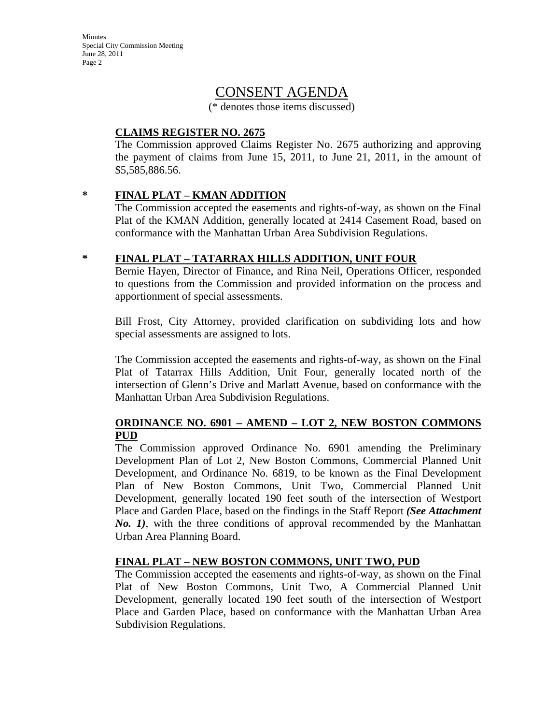Minutes Special City Commission Meeting June 28, 2011 Page 2

# CONSENT AGENDA

(\* denotes those items discussed)

### **CLAIMS REGISTER NO. 2675**

The Commission approved Claims Register No. 2675 authorizing and approving the payment of claims from June 15, 2011, to June 21, 2011, in the amount of \$5,585,886.56.

### **\* FINAL PLAT – KMAN ADDITION**

The Commission accepted the easements and rights-of-way, as shown on the Final Plat of the KMAN Addition, generally located at 2414 Casement Road, based on conformance with the Manhattan Urban Area Subdivision Regulations.

# **\* FINAL PLAT – TATARRAX HILLS ADDITION, UNIT FOUR**

Bernie Hayen, Director of Finance, and Rina Neil, Operations Officer, responded to questions from the Commission and provided information on the process and apportionment of special assessments.

Bill Frost, City Attorney, provided clarification on subdividing lots and how special assessments are assigned to lots.

The Commission accepted the easements and rights-of-way, as shown on the Final Plat of Tatarrax Hills Addition, Unit Four, generally located north of the intersection of Glenn's Drive and Marlatt Avenue, based on conformance with the Manhattan Urban Area Subdivision Regulations.

# **ORDINANCE NO. 6901 – AMEND – LOT 2, NEW BOSTON COMMONS PUD**

The Commission approved Ordinance No. 6901 amending the Preliminary Development Plan of Lot 2, New Boston Commons, Commercial Planned Unit Development, and Ordinance No. 6819, to be known as the Final Development Plan of New Boston Commons, Unit Two, Commercial Planned Unit Development, generally located 190 feet south of the intersection of Westport Place and Garden Place, based on the findings in the Staff Report *(See Attachment No. 1)*, with the three conditions of approval recommended by the Manhattan Urban Area Planning Board.

# **FINAL PLAT – NEW BOSTON COMMONS, UNIT TWO, PUD**

The Commission accepted the easements and rights-of-way, as shown on the Final Plat of New Boston Commons, Unit Two, A Commercial Planned Unit Development, generally located 190 feet south of the intersection of Westport Place and Garden Place, based on conformance with the Manhattan Urban Area Subdivision Regulations.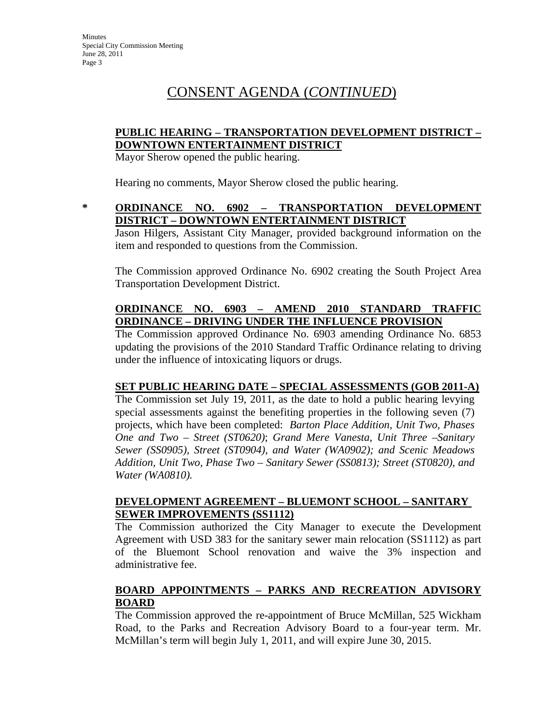# CONSENT AGENDA (*CONTINUED*)

### **PUBLIC HEARING – TRANSPORTATION DEVELOPMENT DISTRICT – DOWNTOWN ENTERTAINMENT DISTRICT**

Mayor Sherow opened the public hearing.

Hearing no comments, Mayor Sherow closed the public hearing.

### **\* ORDINANCE NO. 6902 – TRANSPORTATION DEVELOPMENT DISTRICT – DOWNTOWN ENTERTAINMENT DISTRICT**

Jason Hilgers, Assistant City Manager, provided background information on the item and responded to questions from the Commission.

The Commission approved Ordinance No. 6902 creating the South Project Area Transportation Development District.

# **ORDINANCE NO. 6903 – AMEND 2010 STANDARD TRAFFIC ORDINANCE – DRIVING UNDER THE INFLUENCE PROVISION**

The Commission approved Ordinance No. 6903 amending Ordinance No. 6853 updating the provisions of the 2010 Standard Traffic Ordinance relating to driving under the influence of intoxicating liquors or drugs.

# **SET PUBLIC HEARING DATE – SPECIAL ASSESSMENTS (GOB 2011-A)**

The Commission set July 19, 2011, as the date to hold a public hearing levying special assessments against the benefiting properties in the following seven (7) projects, which have been completed:*Barton Place Addition, Unit Two, Phases One and Two – Street (ST0620)*; *Grand Mere Vanesta, Unit Three –Sanitary Sewer (SS0905), Street (ST0904), and Water (WA0902); and Scenic Meadows Addition, Unit Two, Phase Two – Sanitary Sewer (SS0813); Street (ST0820), and Water (WA0810).*

### **DEVELOPMENT AGREEMENT – BLUEMONT SCHOOL – SANITARY SEWER IMPROVEMENTS (SS1112)**

The Commission authorized the City Manager to execute the Development Agreement with USD 383 for the sanitary sewer main relocation (SS1112) as part of the Bluemont School renovation and waive the 3% inspection and administrative fee.

# **BOARD APPOINTMENTS – PARKS AND RECREATION ADVISORY BOARD**

The Commission approved the re-appointment of Bruce McMillan, 525 Wickham Road, to the Parks and Recreation Advisory Board to a four-year term. Mr. McMillan's term will begin July 1, 2011, and will expire June 30, 2015.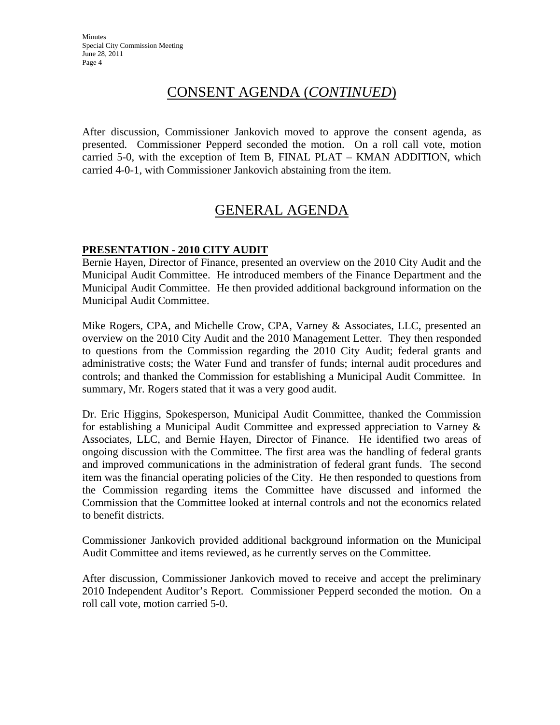# CONSENT AGENDA (*CONTINUED*)

After discussion, Commissioner Jankovich moved to approve the consent agenda, as presented. Commissioner Pepperd seconded the motion. On a roll call vote, motion carried 5-0, with the exception of Item B, FINAL PLAT – KMAN ADDITION, which carried 4-0-1, with Commissioner Jankovich abstaining from the item.

# GENERAL AGENDA

# **PRESENTATION - 2010 CITY AUDIT**

Bernie Hayen, Director of Finance, presented an overview on the 2010 City Audit and the Municipal Audit Committee. He introduced members of the Finance Department and the Municipal Audit Committee. He then provided additional background information on the Municipal Audit Committee.

Mike Rogers, CPA, and Michelle Crow, CPA, Varney & Associates, LLC, presented an overview on the 2010 City Audit and the 2010 Management Letter. They then responded to questions from the Commission regarding the 2010 City Audit; federal grants and administrative costs; the Water Fund and transfer of funds; internal audit procedures and controls; and thanked the Commission for establishing a Municipal Audit Committee. In summary, Mr. Rogers stated that it was a very good audit.

Dr. Eric Higgins, Spokesperson, Municipal Audit Committee, thanked the Commission for establishing a Municipal Audit Committee and expressed appreciation to Varney & Associates, LLC, and Bernie Hayen, Director of Finance. He identified two areas of ongoing discussion with the Committee. The first area was the handling of federal grants and improved communications in the administration of federal grant funds. The second item was the financial operating policies of the City. He then responded to questions from the Commission regarding items the Committee have discussed and informed the Commission that the Committee looked at internal controls and not the economics related to benefit districts.

Commissioner Jankovich provided additional background information on the Municipal Audit Committee and items reviewed, as he currently serves on the Committee.

After discussion, Commissioner Jankovich moved to receive and accept the preliminary 2010 Independent Auditor's Report. Commissioner Pepperd seconded the motion. On a roll call vote, motion carried 5-0.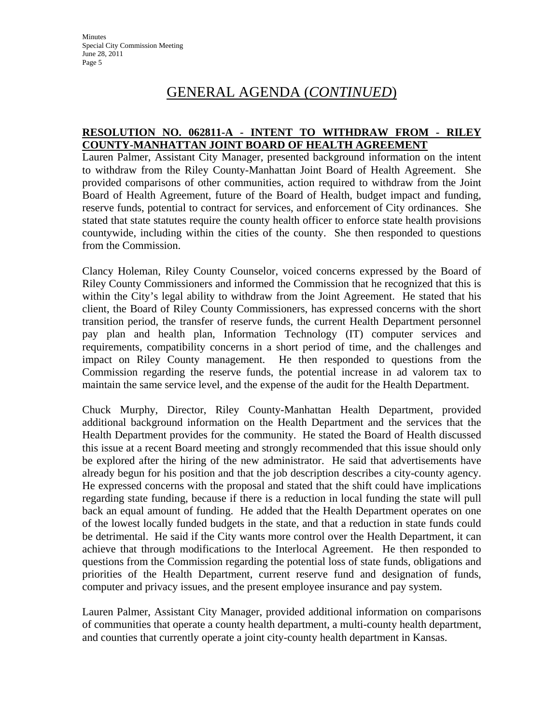# GENERAL AGENDA (*CONTINUED*)

### **RESOLUTION NO. 062811-A - INTENT TO WITHDRAW FROM - RILEY COUNTY-MANHATTAN JOINT BOARD OF HEALTH AGREEMENT**

Lauren Palmer, Assistant City Manager, presented background information on the intent to withdraw from the Riley County-Manhattan Joint Board of Health Agreement. She provided comparisons of other communities, action required to withdraw from the Joint Board of Health Agreement, future of the Board of Health, budget impact and funding, reserve funds, potential to contract for services, and enforcement of City ordinances. She stated that state statutes require the county health officer to enforce state health provisions countywide, including within the cities of the county. She then responded to questions from the Commission.

Clancy Holeman, Riley County Counselor, voiced concerns expressed by the Board of Riley County Commissioners and informed the Commission that he recognized that this is within the City's legal ability to withdraw from the Joint Agreement. He stated that his client, the Board of Riley County Commissioners, has expressed concerns with the short transition period, the transfer of reserve funds, the current Health Department personnel pay plan and health plan, Information Technology (IT) computer services and requirements, compatibility concerns in a short period of time, and the challenges and impact on Riley County management. He then responded to questions from the Commission regarding the reserve funds, the potential increase in ad valorem tax to maintain the same service level, and the expense of the audit for the Health Department.

Chuck Murphy, Director, Riley County-Manhattan Health Department, provided additional background information on the Health Department and the services that the Health Department provides for the community. He stated the Board of Health discussed this issue at a recent Board meeting and strongly recommended that this issue should only be explored after the hiring of the new administrator. He said that advertisements have already begun for his position and that the job description describes a city-county agency. He expressed concerns with the proposal and stated that the shift could have implications regarding state funding, because if there is a reduction in local funding the state will pull back an equal amount of funding. He added that the Health Department operates on one of the lowest locally funded budgets in the state, and that a reduction in state funds could be detrimental. He said if the City wants more control over the Health Department, it can achieve that through modifications to the Interlocal Agreement. He then responded to questions from the Commission regarding the potential loss of state funds, obligations and priorities of the Health Department, current reserve fund and designation of funds, computer and privacy issues, and the present employee insurance and pay system.

Lauren Palmer, Assistant City Manager, provided additional information on comparisons of communities that operate a county health department, a multi-county health department, and counties that currently operate a joint city-county health department in Kansas.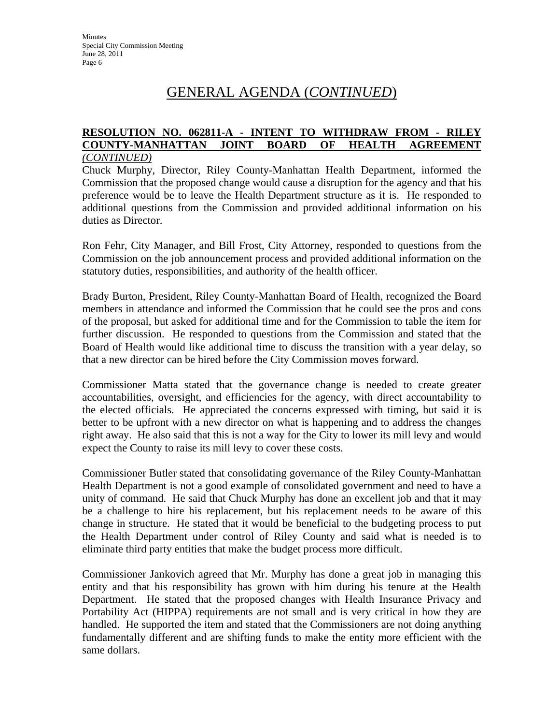# GENERAL AGENDA (*CONTINUED*)

#### **RESOLUTION NO. 062811-A - INTENT TO WITHDRAW FROM - RILEY COUNTY-MANHATTAN JOINT BOARD OF HEALTH AGREEMENT**  *(CONTINUED)*

Chuck Murphy, Director, Riley County-Manhattan Health Department, informed the Commission that the proposed change would cause a disruption for the agency and that his preference would be to leave the Health Department structure as it is. He responded to additional questions from the Commission and provided additional information on his duties as Director.

Ron Fehr, City Manager, and Bill Frost, City Attorney, responded to questions from the Commission on the job announcement process and provided additional information on the statutory duties, responsibilities, and authority of the health officer.

Brady Burton, President, Riley County-Manhattan Board of Health, recognized the Board members in attendance and informed the Commission that he could see the pros and cons of the proposal, but asked for additional time and for the Commission to table the item for further discussion. He responded to questions from the Commission and stated that the Board of Health would like additional time to discuss the transition with a year delay, so that a new director can be hired before the City Commission moves forward.

Commissioner Matta stated that the governance change is needed to create greater accountabilities, oversight, and efficiencies for the agency, with direct accountability to the elected officials. He appreciated the concerns expressed with timing, but said it is better to be upfront with a new director on what is happening and to address the changes right away. He also said that this is not a way for the City to lower its mill levy and would expect the County to raise its mill levy to cover these costs.

Commissioner Butler stated that consolidating governance of the Riley County-Manhattan Health Department is not a good example of consolidated government and need to have a unity of command. He said that Chuck Murphy has done an excellent job and that it may be a challenge to hire his replacement, but his replacement needs to be aware of this change in structure. He stated that it would be beneficial to the budgeting process to put the Health Department under control of Riley County and said what is needed is to eliminate third party entities that make the budget process more difficult.

Commissioner Jankovich agreed that Mr. Murphy has done a great job in managing this entity and that his responsibility has grown with him during his tenure at the Health Department. He stated that the proposed changes with Health Insurance Privacy and Portability Act (HIPPA) requirements are not small and is very critical in how they are handled. He supported the item and stated that the Commissioners are not doing anything fundamentally different and are shifting funds to make the entity more efficient with the same dollars.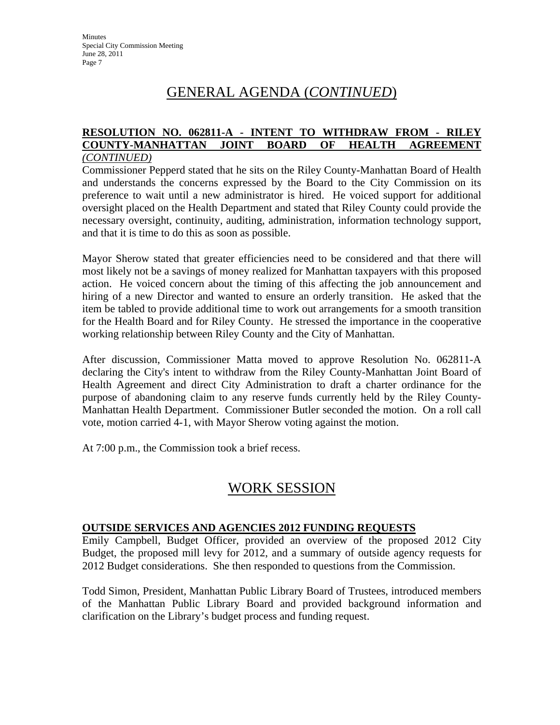# GENERAL AGENDA (*CONTINUED*)

#### **RESOLUTION NO. 062811-A - INTENT TO WITHDRAW FROM - RILEY COUNTY-MANHATTAN JOINT BOARD OF HEALTH AGREEMENT**  *(CONTINUED)*

Commissioner Pepperd stated that he sits on the Riley County-Manhattan Board of Health and understands the concerns expressed by the Board to the City Commission on its preference to wait until a new administrator is hired. He voiced support for additional oversight placed on the Health Department and stated that Riley County could provide the necessary oversight, continuity, auditing, administration, information technology support, and that it is time to do this as soon as possible.

Mayor Sherow stated that greater efficiencies need to be considered and that there will most likely not be a savings of money realized for Manhattan taxpayers with this proposed action. He voiced concern about the timing of this affecting the job announcement and hiring of a new Director and wanted to ensure an orderly transition. He asked that the item be tabled to provide additional time to work out arrangements for a smooth transition for the Health Board and for Riley County. He stressed the importance in the cooperative working relationship between Riley County and the City of Manhattan.

After discussion, Commissioner Matta moved to approve Resolution No. 062811-A declaring the City's intent to withdraw from the Riley County-Manhattan Joint Board of Health Agreement and direct City Administration to draft a charter ordinance for the purpose of abandoning claim to any reserve funds currently held by the Riley County-Manhattan Health Department. Commissioner Butler seconded the motion. On a roll call vote, motion carried 4-1, with Mayor Sherow voting against the motion.

At 7:00 p.m., the Commission took a brief recess.

# WORK SESSION

# **OUTSIDE SERVICES AND AGENCIES 2012 FUNDING REQUESTS**

Emily Campbell, Budget Officer, provided an overview of the proposed 2012 City Budget, the proposed mill levy for 2012, and a summary of outside agency requests for 2012 Budget considerations. She then responded to questions from the Commission.

Todd Simon, President, Manhattan Public Library Board of Trustees, introduced members of the Manhattan Public Library Board and provided background information and clarification on the Library's budget process and funding request.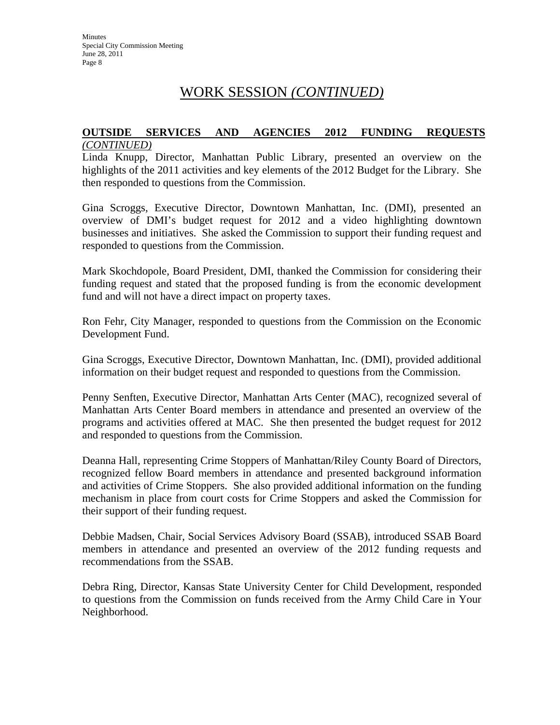# WORK SESSION *(CONTINUED)*

#### **OUTSIDE SERVICES AND AGENCIES 2012 FUNDING REQUESTS** *(CONTINUED)*

Linda Knupp, Director, Manhattan Public Library, presented an overview on the highlights of the 2011 activities and key elements of the 2012 Budget for the Library. She then responded to questions from the Commission.

Gina Scroggs, Executive Director, Downtown Manhattan, Inc. (DMI), presented an overview of DMI's budget request for 2012 and a video highlighting downtown businesses and initiatives. She asked the Commission to support their funding request and responded to questions from the Commission.

Mark Skochdopole, Board President, DMI, thanked the Commission for considering their funding request and stated that the proposed funding is from the economic development fund and will not have a direct impact on property taxes.

Ron Fehr, City Manager, responded to questions from the Commission on the Economic Development Fund.

Gina Scroggs, Executive Director, Downtown Manhattan, Inc. (DMI), provided additional information on their budget request and responded to questions from the Commission.

Penny Senften, Executive Director, Manhattan Arts Center (MAC), recognized several of Manhattan Arts Center Board members in attendance and presented an overview of the programs and activities offered at MAC. She then presented the budget request for 2012 and responded to questions from the Commission.

Deanna Hall, representing Crime Stoppers of Manhattan/Riley County Board of Directors, recognized fellow Board members in attendance and presented background information and activities of Crime Stoppers. She also provided additional information on the funding mechanism in place from court costs for Crime Stoppers and asked the Commission for their support of their funding request.

Debbie Madsen, Chair, Social Services Advisory Board (SSAB), introduced SSAB Board members in attendance and presented an overview of the 2012 funding requests and recommendations from the SSAB.

Debra Ring, Director, Kansas State University Center for Child Development, responded to questions from the Commission on funds received from the Army Child Care in Your Neighborhood.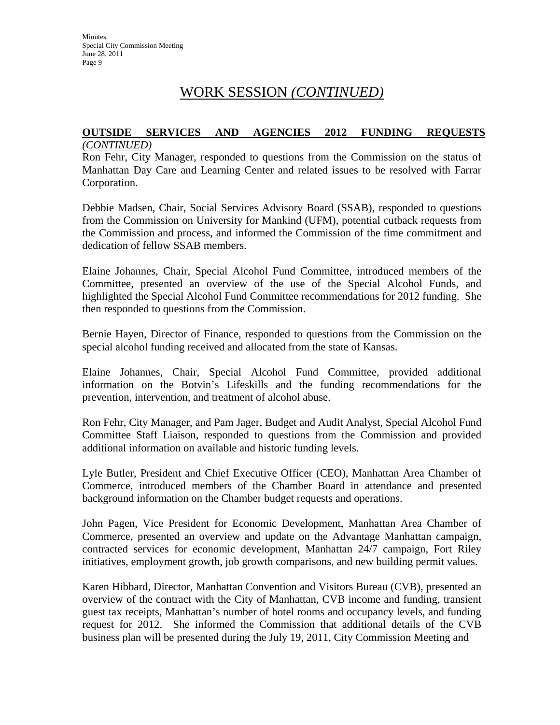# WORK SESSION *(CONTINUED)*

#### **OUTSIDE SERVICES AND AGENCIES 2012 FUNDING REQUESTS** *(CONTINUED)*

Ron Fehr, City Manager, responded to questions from the Commission on the status of Manhattan Day Care and Learning Center and related issues to be resolved with Farrar Corporation.

Debbie Madsen, Chair, Social Services Advisory Board (SSAB), responded to questions from the Commission on University for Mankind (UFM), potential cutback requests from the Commission and process, and informed the Commission of the time commitment and dedication of fellow SSAB members.

Elaine Johannes, Chair, Special Alcohol Fund Committee, introduced members of the Committee, presented an overview of the use of the Special Alcohol Funds, and highlighted the Special Alcohol Fund Committee recommendations for 2012 funding. She then responded to questions from the Commission.

Bernie Hayen, Director of Finance, responded to questions from the Commission on the special alcohol funding received and allocated from the state of Kansas.

Elaine Johannes, Chair, Special Alcohol Fund Committee, provided additional information on the Botvin's Lifeskills and the funding recommendations for the prevention, intervention, and treatment of alcohol abuse.

Ron Fehr, City Manager, and Pam Jager, Budget and Audit Analyst, Special Alcohol Fund Committee Staff Liaison, responded to questions from the Commission and provided additional information on available and historic funding levels.

Lyle Butler, President and Chief Executive Officer (CEO), Manhattan Area Chamber of Commerce, introduced members of the Chamber Board in attendance and presented background information on the Chamber budget requests and operations.

John Pagen, Vice President for Economic Development, Manhattan Area Chamber of Commerce, presented an overview and update on the Advantage Manhattan campaign, contracted services for economic development, Manhattan 24/7 campaign, Fort Riley initiatives, employment growth, job growth comparisons, and new building permit values.

Karen Hibbard, Director, Manhattan Convention and Visitors Bureau (CVB), presented an overview of the contract with the City of Manhattan, CVB income and funding, transient guest tax receipts, Manhattan's number of hotel rooms and occupancy levels, and funding request for 2012. She informed the Commission that additional details of the CVB business plan will be presented during the July 19, 2011, City Commission Meeting and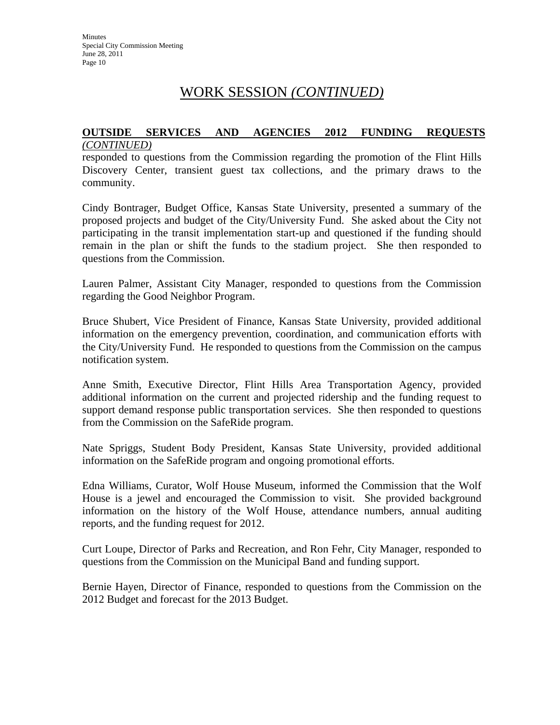# WORK SESSION *(CONTINUED)*

#### **OUTSIDE SERVICES AND AGENCIES 2012 FUNDING REQUESTS** *(CONTINUED)*

responded to questions from the Commission regarding the promotion of the Flint Hills Discovery Center, transient guest tax collections, and the primary draws to the community.

Cindy Bontrager, Budget Office, Kansas State University, presented a summary of the proposed projects and budget of the City/University Fund. She asked about the City not participating in the transit implementation start-up and questioned if the funding should remain in the plan or shift the funds to the stadium project. She then responded to questions from the Commission.

Lauren Palmer, Assistant City Manager, responded to questions from the Commission regarding the Good Neighbor Program.

Bruce Shubert, Vice President of Finance, Kansas State University, provided additional information on the emergency prevention, coordination, and communication efforts with the City/University Fund. He responded to questions from the Commission on the campus notification system.

Anne Smith, Executive Director, Flint Hills Area Transportation Agency, provided additional information on the current and projected ridership and the funding request to support demand response public transportation services. She then responded to questions from the Commission on the SafeRide program.

Nate Spriggs, Student Body President, Kansas State University, provided additional information on the SafeRide program and ongoing promotional efforts.

Edna Williams, Curator, Wolf House Museum, informed the Commission that the Wolf House is a jewel and encouraged the Commission to visit. She provided background information on the history of the Wolf House, attendance numbers, annual auditing reports, and the funding request for 2012.

Curt Loupe, Director of Parks and Recreation, and Ron Fehr, City Manager, responded to questions from the Commission on the Municipal Band and funding support.

Bernie Hayen, Director of Finance, responded to questions from the Commission on the 2012 Budget and forecast for the 2013 Budget.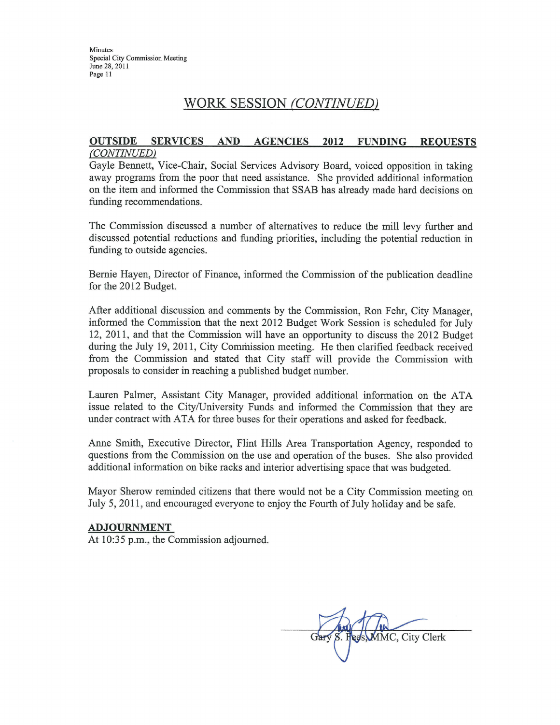Minutes Special City Commission Meeting June 28, 2011 Page 11

# WORK SESSION (CONTINUED)

#### **OUTSIDE SERVICES AND AGENCIES** 2012 **FUNDING REOUESTS** (CONTINUED)

Gayle Bennett, Vice-Chair, Social Services Advisory Board, voiced opposition in taking away programs from the poor that need assistance. She provided additional information on the item and informed the Commission that SSAB has already made hard decisions on funding recommendations.

The Commission discussed a number of alternatives to reduce the mill levy further and discussed potential reductions and funding priorities, including the potential reduction in funding to outside agencies.

Bernie Hayen, Director of Finance, informed the Commission of the publication deadline for the 2012 Budget.

After additional discussion and comments by the Commission, Ron Fehr, City Manager, informed the Commission that the next 2012 Budget Work Session is scheduled for July 12, 2011, and that the Commission will have an opportunity to discuss the 2012 Budget during the July 19, 2011, City Commission meeting. He then clarified feedback received from the Commission and stated that City staff will provide the Commission with proposals to consider in reaching a published budget number.

Lauren Palmer, Assistant City Manager, provided additional information on the ATA issue related to the City/University Funds and informed the Commission that they are under contract with ATA for three buses for their operations and asked for feedback.

Anne Smith, Executive Director, Flint Hills Area Transportation Agency, responded to questions from the Commission on the use and operation of the buses. She also provided additional information on bike racks and interior advertising space that was budgeted.

Mayor Sherow reminded citizens that there would not be a City Commission meeting on July 5, 2011, and encouraged everyone to enjoy the Fourth of July holiday and be safe.

#### **ADJOURNMENT**

At 10:35 p.m., the Commission adjourned.

8. Fees, MMC, City Clerk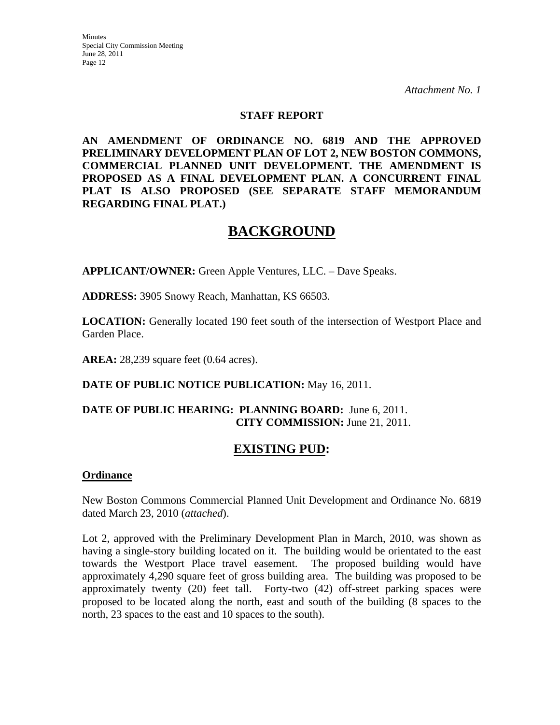**Minutes** Special City Commission Meeting June 28, 2011 Page 12

*Attachment No. 1* 

### **STAFF REPORT**

**AN AMENDMENT OF ORDINANCE NO. 6819 AND THE APPROVED PRELIMINARY DEVELOPMENT PLAN OF LOT 2, NEW BOSTON COMMONS, COMMERCIAL PLANNED UNIT DEVELOPMENT. THE AMENDMENT IS PROPOSED AS A FINAL DEVELOPMENT PLAN. A CONCURRENT FINAL PLAT IS ALSO PROPOSED (SEE SEPARATE STAFF MEMORANDUM REGARDING FINAL PLAT.)** 

# **BACKGROUND**

**APPLICANT/OWNER:** Green Apple Ventures, LLC. – Dave Speaks.

**ADDRESS:** 3905 Snowy Reach, Manhattan, KS 66503.

**LOCATION:** Generally located 190 feet south of the intersection of Westport Place and Garden Place.

**AREA:** 28,239 square feet (0.64 acres).

**DATE OF PUBLIC NOTICE PUBLICATION:** May 16, 2011.

### **DATE OF PUBLIC HEARING: PLANNING BOARD:** June 6, 2011. **CITY COMMISSION:** June 21, 2011.

# **EXISTING PUD:**

### **Ordinance**

New Boston Commons Commercial Planned Unit Development and Ordinance No. 6819 dated March 23, 2010 (*attached*).

Lot 2, approved with the Preliminary Development Plan in March, 2010, was shown as having a single-story building located on it. The building would be orientated to the east towards the Westport Place travel easement. The proposed building would have approximately 4,290 square feet of gross building area. The building was proposed to be approximately twenty (20) feet tall. Forty-two (42) off-street parking spaces were proposed to be located along the north, east and south of the building (8 spaces to the north, 23 spaces to the east and 10 spaces to the south).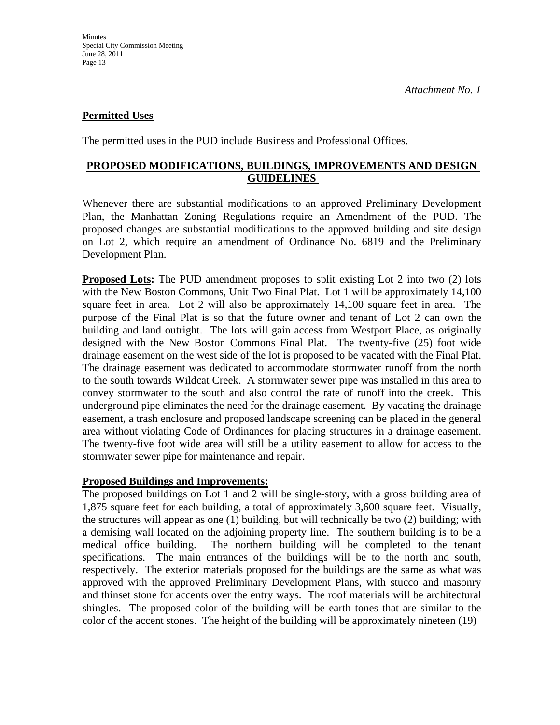# **Permitted Uses**

The permitted uses in the PUD include Business and Professional Offices.

# **PROPOSED MODIFICATIONS, BUILDINGS, IMPROVEMENTS AND DESIGN GUIDELINES**

Whenever there are substantial modifications to an approved Preliminary Development Plan, the Manhattan Zoning Regulations require an Amendment of the PUD. The proposed changes are substantial modifications to the approved building and site design on Lot 2, which require an amendment of Ordinance No. 6819 and the Preliminary Development Plan.

**Proposed Lots:** The PUD amendment proposes to split existing Lot 2 into two (2) lots with the New Boston Commons, Unit Two Final Plat. Lot 1 will be approximately 14,100 square feet in area. Lot 2 will also be approximately 14,100 square feet in area. The purpose of the Final Plat is so that the future owner and tenant of Lot 2 can own the building and land outright. The lots will gain access from Westport Place, as originally designed with the New Boston Commons Final Plat. The twenty-five (25) foot wide drainage easement on the west side of the lot is proposed to be vacated with the Final Plat. The drainage easement was dedicated to accommodate stormwater runoff from the north to the south towards Wildcat Creek. A stormwater sewer pipe was installed in this area to convey stormwater to the south and also control the rate of runoff into the creek. This underground pipe eliminates the need for the drainage easement. By vacating the drainage easement, a trash enclosure and proposed landscape screening can be placed in the general area without violating Code of Ordinances for placing structures in a drainage easement. The twenty-five foot wide area will still be a utility easement to allow for access to the stormwater sewer pipe for maintenance and repair.

### **Proposed Buildings and Improvements:**

The proposed buildings on Lot 1 and 2 will be single-story, with a gross building area of 1,875 square feet for each building, a total of approximately 3,600 square feet. Visually, the structures will appear as one (1) building, but will technically be two (2) building; with a demising wall located on the adjoining property line. The southern building is to be a medical office building. The northern building will be completed to the tenant specifications. The main entrances of the buildings will be to the north and south, respectively. The exterior materials proposed for the buildings are the same as what was approved with the approved Preliminary Development Plans, with stucco and masonry and thinset stone for accents over the entry ways. The roof materials will be architectural shingles. The proposed color of the building will be earth tones that are similar to the color of the accent stones. The height of the building will be approximately nineteen (19)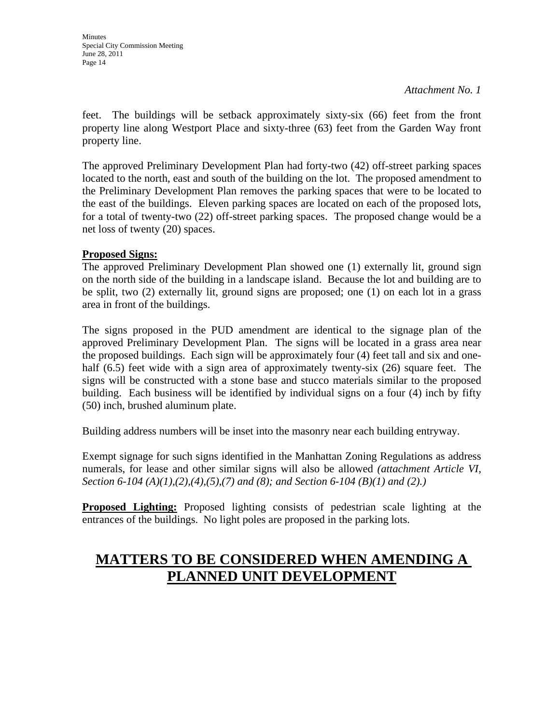feet. The buildings will be setback approximately sixty-six (66) feet from the front property line along Westport Place and sixty-three (63) feet from the Garden Way front property line.

The approved Preliminary Development Plan had forty-two (42) off-street parking spaces located to the north, east and south of the building on the lot. The proposed amendment to the Preliminary Development Plan removes the parking spaces that were to be located to the east of the buildings. Eleven parking spaces are located on each of the proposed lots, for a total of twenty-two (22) off-street parking spaces. The proposed change would be a net loss of twenty (20) spaces.

# **Proposed Signs:**

The approved Preliminary Development Plan showed one (1) externally lit, ground sign on the north side of the building in a landscape island. Because the lot and building are to be split, two (2) externally lit, ground signs are proposed; one (1) on each lot in a grass area in front of the buildings.

The signs proposed in the PUD amendment are identical to the signage plan of the approved Preliminary Development Plan. The signs will be located in a grass area near the proposed buildings. Each sign will be approximately four (4) feet tall and six and onehalf (6.5) feet wide with a sign area of approximately twenty-six (26) square feet. The signs will be constructed with a stone base and stucco materials similar to the proposed building. Each business will be identified by individual signs on a four (4) inch by fifty (50) inch, brushed aluminum plate.

Building address numbers will be inset into the masonry near each building entryway.

Exempt signage for such signs identified in the Manhattan Zoning Regulations as address numerals, for lease and other similar signs will also be allowed *(attachment Article VI, Section 6-104 (A)(1),(2),(4),(5),(7) and (8); and Section 6-104 (B)(1) and (2).)*

**Proposed Lighting:** Proposed lighting consists of pedestrian scale lighting at the entrances of the buildings. No light poles are proposed in the parking lots.

# **MATTERS TO BE CONSIDERED WHEN AMENDING A PLANNED UNIT DEVELOPMENT**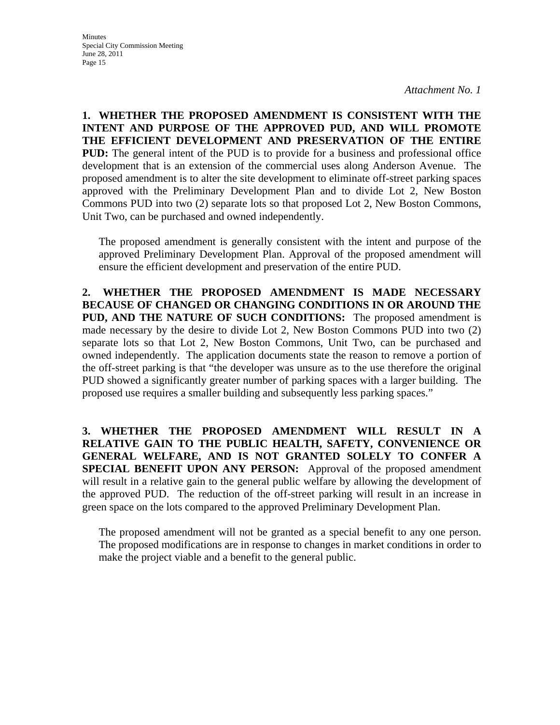**1. WHETHER THE PROPOSED AMENDMENT IS CONSISTENT WITH THE INTENT AND PURPOSE OF THE APPROVED PUD, AND WILL PROMOTE THE EFFICIENT DEVELOPMENT AND PRESERVATION OF THE ENTIRE PUD:** The general intent of the PUD is to provide for a business and professional office development that is an extension of the commercial uses along Anderson Avenue. The proposed amendment is to alter the site development to eliminate off-street parking spaces approved with the Preliminary Development Plan and to divide Lot 2, New Boston Commons PUD into two (2) separate lots so that proposed Lot 2, New Boston Commons, Unit Two, can be purchased and owned independently.

The proposed amendment is generally consistent with the intent and purpose of the approved Preliminary Development Plan. Approval of the proposed amendment will ensure the efficient development and preservation of the entire PUD.

**2. WHETHER THE PROPOSED AMENDMENT IS MADE NECESSARY BECAUSE OF CHANGED OR CHANGING CONDITIONS IN OR AROUND THE PUD, AND THE NATURE OF SUCH CONDITIONS:** The proposed amendment is made necessary by the desire to divide Lot 2, New Boston Commons PUD into two (2) separate lots so that Lot 2, New Boston Commons, Unit Two, can be purchased and owned independently. The application documents state the reason to remove a portion of the off-street parking is that "the developer was unsure as to the use therefore the original PUD showed a significantly greater number of parking spaces with a larger building. The proposed use requires a smaller building and subsequently less parking spaces."

**3. WHETHER THE PROPOSED AMENDMENT WILL RESULT IN A RELATIVE GAIN TO THE PUBLIC HEALTH, SAFETY, CONVENIENCE OR GENERAL WELFARE, AND IS NOT GRANTED SOLELY TO CONFER A SPECIAL BENEFIT UPON ANY PERSON:** Approval of the proposed amendment will result in a relative gain to the general public welfare by allowing the development of the approved PUD. The reduction of the off-street parking will result in an increase in green space on the lots compared to the approved Preliminary Development Plan.

The proposed amendment will not be granted as a special benefit to any one person. The proposed modifications are in response to changes in market conditions in order to make the project viable and a benefit to the general public.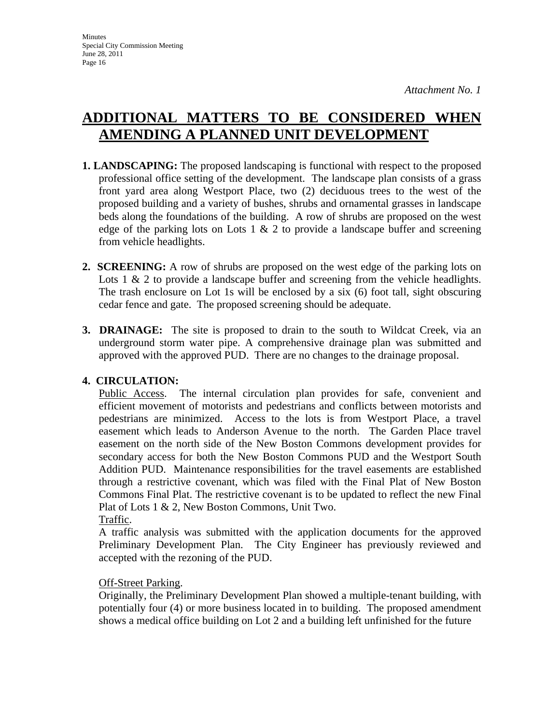# **ADDITIONAL MATTERS TO BE CONSIDERED WHEN AMENDING A PLANNED UNIT DEVELOPMENT**

- **1. LANDSCAPING:** The proposed landscaping is functional with respect to the proposed professional office setting of the development. The landscape plan consists of a grass front yard area along Westport Place, two (2) deciduous trees to the west of the proposed building and a variety of bushes, shrubs and ornamental grasses in landscape beds along the foundations of the building. A row of shrubs are proposed on the west edge of the parking lots on Lots 1  $\&$  2 to provide a landscape buffer and screening from vehicle headlights.
- **2. SCREENING:** A row of shrubs are proposed on the west edge of the parking lots on Lots 1 & 2 to provide a landscape buffer and screening from the vehicle headlights. The trash enclosure on Lot 1s will be enclosed by a six (6) foot tall, sight obscuring cedar fence and gate. The proposed screening should be adequate.
- **3. DRAINAGE:** The site is proposed to drain to the south to Wildcat Creek, via an underground storm water pipe. A comprehensive drainage plan was submitted and approved with the approved PUD. There are no changes to the drainage proposal.

# **4. CIRCULATION:**

Public Access. The internal circulation plan provides for safe, convenient and efficient movement of motorists and pedestrians and conflicts between motorists and pedestrians are minimized. Access to the lots is from Westport Place, a travel easement which leads to Anderson Avenue to the north. The Garden Place travel easement on the north side of the New Boston Commons development provides for secondary access for both the New Boston Commons PUD and the Westport South Addition PUD. Maintenance responsibilities for the travel easements are established through a restrictive covenant, which was filed with the Final Plat of New Boston Commons Final Plat. The restrictive covenant is to be updated to reflect the new Final Plat of Lots 1 & 2, New Boston Commons, Unit Two.

Traffic.

A traffic analysis was submitted with the application documents for the approved Preliminary Development Plan. The City Engineer has previously reviewed and accepted with the rezoning of the PUD.

# Off-Street Parking.

Originally, the Preliminary Development Plan showed a multiple-tenant building, with potentially four (4) or more business located in to building. The proposed amendment shows a medical office building on Lot 2 and a building left unfinished for the future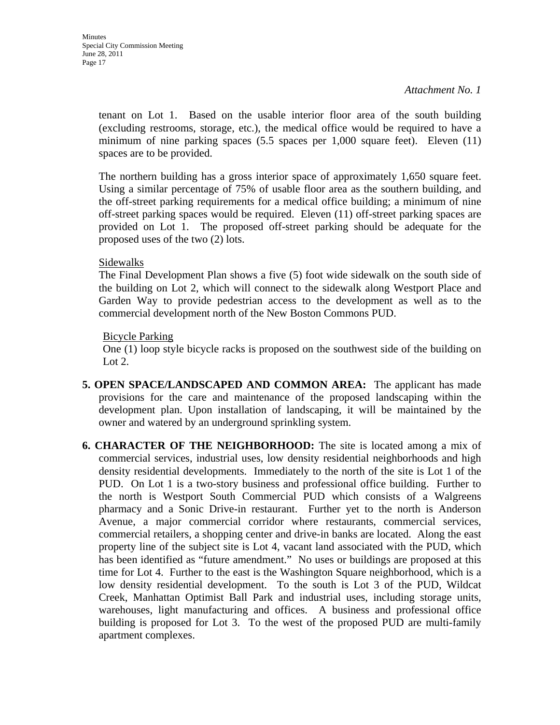tenant on Lot 1. Based on the usable interior floor area of the south building (excluding restrooms, storage, etc.), the medical office would be required to have a minimum of nine parking spaces (5.5 spaces per 1,000 square feet). Eleven (11) spaces are to be provided.

The northern building has a gross interior space of approximately 1,650 square feet. Using a similar percentage of 75% of usable floor area as the southern building, and the off-street parking requirements for a medical office building; a minimum of nine off-street parking spaces would be required. Eleven (11) off-street parking spaces are provided on Lot 1. The proposed off-street parking should be adequate for the proposed uses of the two (2) lots.

### Sidewalks

The Final Development Plan shows a five (5) foot wide sidewalk on the south side of the building on Lot 2, which will connect to the sidewalk along Westport Place and Garden Way to provide pedestrian access to the development as well as to the commercial development north of the New Boston Commons PUD.

### Bicycle Parking

One (1) loop style bicycle racks is proposed on the southwest side of the building on Lot 2.

- **5. OPEN SPACE/LANDSCAPED AND COMMON AREA:** The applicant has made provisions for the care and maintenance of the proposed landscaping within the development plan. Upon installation of landscaping, it will be maintained by the owner and watered by an underground sprinkling system.
- **6. CHARACTER OF THE NEIGHBORHOOD:** The site is located among a mix of commercial services, industrial uses, low density residential neighborhoods and high density residential developments. Immediately to the north of the site is Lot 1 of the PUD. On Lot 1 is a two-story business and professional office building. Further to the north is Westport South Commercial PUD which consists of a Walgreens pharmacy and a Sonic Drive-in restaurant. Further yet to the north is Anderson Avenue, a major commercial corridor where restaurants, commercial services, commercial retailers, a shopping center and drive-in banks are located. Along the east property line of the subject site is Lot 4, vacant land associated with the PUD, which has been identified as "future amendment." No uses or buildings are proposed at this time for Lot 4. Further to the east is the Washington Square neighborhood, which is a low density residential development. To the south is Lot 3 of the PUD, Wildcat Creek, Manhattan Optimist Ball Park and industrial uses, including storage units, warehouses, light manufacturing and offices. A business and professional office building is proposed for Lot 3. To the west of the proposed PUD are multi-family apartment complexes.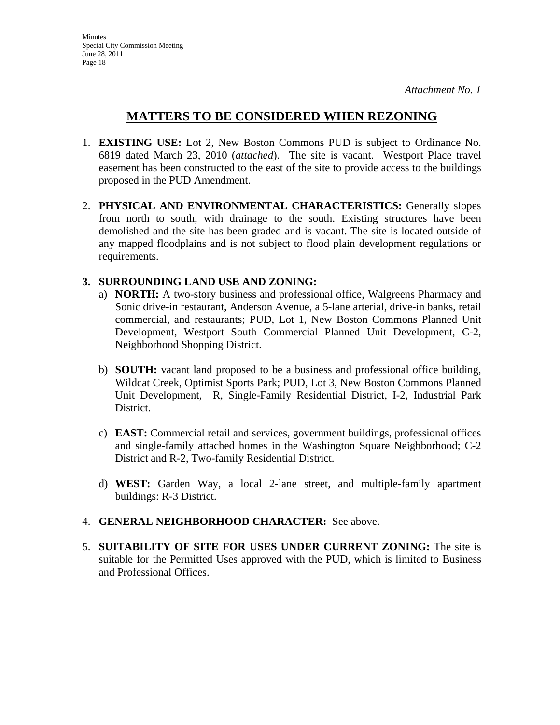# **MATTERS TO BE CONSIDERED WHEN REZONING**

- 1. **EXISTING USE:** Lot 2, New Boston Commons PUD is subject to Ordinance No. 6819 dated March 23, 2010 (*attached*). The site is vacant. Westport Place travel easement has been constructed to the east of the site to provide access to the buildings proposed in the PUD Amendment.
- 2. **PHYSICAL AND ENVIRONMENTAL CHARACTERISTICS:** Generally slopes from north to south, with drainage to the south. Existing structures have been demolished and the site has been graded and is vacant. The site is located outside of any mapped floodplains and is not subject to flood plain development regulations or requirements.

# **3. SURROUNDING LAND USE AND ZONING:**

- a) **NORTH:** A two-story business and professional office, Walgreens Pharmacy and Sonic drive-in restaurant, Anderson Avenue, a 5-lane arterial, drive-in banks, retail commercial, and restaurants; PUD, Lot 1, New Boston Commons Planned Unit Development, Westport South Commercial Planned Unit Development, C-2, Neighborhood Shopping District.
- b) **SOUTH:** vacant land proposed to be a business and professional office building, Wildcat Creek, Optimist Sports Park; PUD, Lot 3, New Boston Commons Planned Unit Development, R, Single-Family Residential District, I-2, Industrial Park District.
- c) **EAST:** Commercial retail and services, government buildings, professional offices and single-family attached homes in the Washington Square Neighborhood; C-2 District and R-2, Two-family Residential District.
- d) **WEST:** Garden Way, a local 2-lane street, and multiple-family apartment buildings: R-3 District.
- 4. **GENERAL NEIGHBORHOOD CHARACTER:** See above.
- 5. **SUITABILITY OF SITE FOR USES UNDER CURRENT ZONING:** The site is suitable for the Permitted Uses approved with the PUD, which is limited to Business and Professional Offices.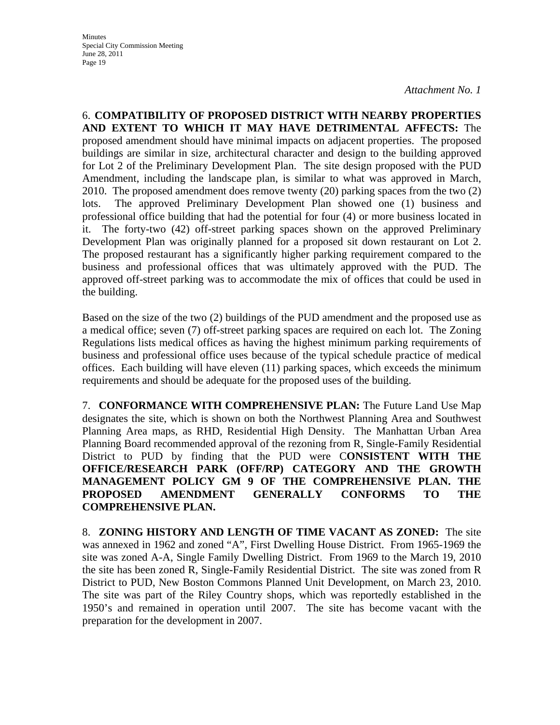6. **COMPATIBILITY OF PROPOSED DISTRICT WITH NEARBY PROPERTIES AND EXTENT TO WHICH IT MAY HAVE DETRIMENTAL AFFECTS:** The proposed amendment should have minimal impacts on adjacent properties. The proposed buildings are similar in size, architectural character and design to the building approved for Lot 2 of the Preliminary Development Plan. The site design proposed with the PUD Amendment, including the landscape plan, is similar to what was approved in March, 2010. The proposed amendment does remove twenty (20) parking spaces from the two (2) lots. The approved Preliminary Development Plan showed one (1) business and professional office building that had the potential for four (4) or more business located in it. The forty-two (42) off-street parking spaces shown on the approved Preliminary Development Plan was originally planned for a proposed sit down restaurant on Lot 2. The proposed restaurant has a significantly higher parking requirement compared to the business and professional offices that was ultimately approved with the PUD. The approved off-street parking was to accommodate the mix of offices that could be used in the building.

Based on the size of the two (2) buildings of the PUD amendment and the proposed use as a medical office; seven (7) off-street parking spaces are required on each lot. The Zoning Regulations lists medical offices as having the highest minimum parking requirements of business and professional office uses because of the typical schedule practice of medical offices. Each building will have eleven (11) parking spaces, which exceeds the minimum requirements and should be adequate for the proposed uses of the building.

7. **CONFORMANCE WITH COMPREHENSIVE PLAN:** The Future Land Use Map designates the site, which is shown on both the Northwest Planning Area and Southwest Planning Area maps, as RHD, Residential High Density. The Manhattan Urban Area Planning Board recommended approval of the rezoning from R, Single-Family Residential District to PUD by finding that the PUD were C**ONSISTENT WITH THE OFFICE/RESEARCH PARK (OFF/RP) CATEGORY AND THE GROWTH MANAGEMENT POLICY GM 9 OF THE COMPREHENSIVE PLAN. THE PROPOSED AMENDMENT GENERALLY CONFORMS TO THE COMPREHENSIVE PLAN.**

8. **ZONING HISTORY AND LENGTH OF TIME VACANT AS ZONED:** The site was annexed in 1962 and zoned "A", First Dwelling House District. From 1965-1969 the site was zoned A-A, Single Family Dwelling District. From 1969 to the March 19, 2010 the site has been zoned R, Single-Family Residential District. The site was zoned from R District to PUD, New Boston Commons Planned Unit Development, on March 23, 2010. The site was part of the Riley Country shops, which was reportedly established in the 1950's and remained in operation until 2007. The site has become vacant with the preparation for the development in 2007.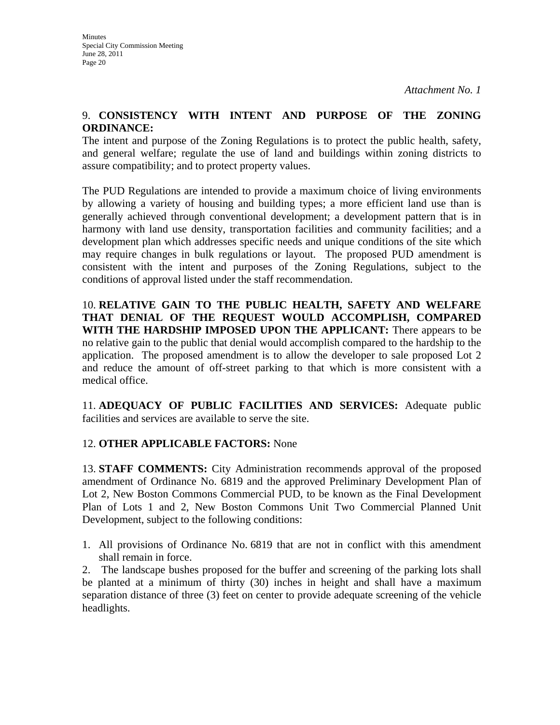# 9. **CONSISTENCY WITH INTENT AND PURPOSE OF THE ZONING ORDINANCE:**

The intent and purpose of the Zoning Regulations is to protect the public health, safety, and general welfare; regulate the use of land and buildings within zoning districts to assure compatibility; and to protect property values.

The PUD Regulations are intended to provide a maximum choice of living environments by allowing a variety of housing and building types; a more efficient land use than is generally achieved through conventional development; a development pattern that is in harmony with land use density, transportation facilities and community facilities; and a development plan which addresses specific needs and unique conditions of the site which may require changes in bulk regulations or layout. The proposed PUD amendment is consistent with the intent and purposes of the Zoning Regulations, subject to the conditions of approval listed under the staff recommendation.

10. **RELATIVE GAIN TO THE PUBLIC HEALTH, SAFETY AND WELFARE THAT DENIAL OF THE REQUEST WOULD ACCOMPLISH, COMPARED WITH THE HARDSHIP IMPOSED UPON THE APPLICANT:** There appears to be no relative gain to the public that denial would accomplish compared to the hardship to the application. The proposed amendment is to allow the developer to sale proposed Lot 2 and reduce the amount of off-street parking to that which is more consistent with a medical office.

11. **ADEQUACY OF PUBLIC FACILITIES AND SERVICES:** Adequate public facilities and services are available to serve the site.

# 12. **OTHER APPLICABLE FACTORS:** None

13. **STAFF COMMENTS:** City Administration recommends approval of the proposed amendment of Ordinance No. 6819 and the approved Preliminary Development Plan of Lot 2, New Boston Commons Commercial PUD, to be known as the Final Development Plan of Lots 1 and 2, New Boston Commons Unit Two Commercial Planned Unit Development, subject to the following conditions:

1. All provisions of Ordinance No. 6819 that are not in conflict with this amendment shall remain in force.

2. The landscape bushes proposed for the buffer and screening of the parking lots shall be planted at a minimum of thirty (30) inches in height and shall have a maximum separation distance of three (3) feet on center to provide adequate screening of the vehicle headlights.